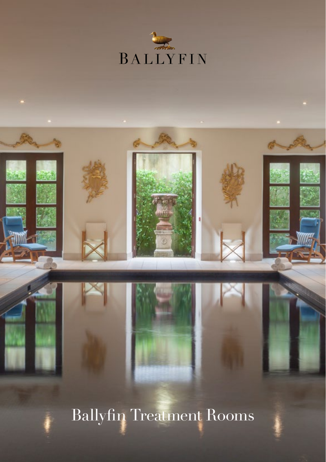



Ballyfin Treatment Rooms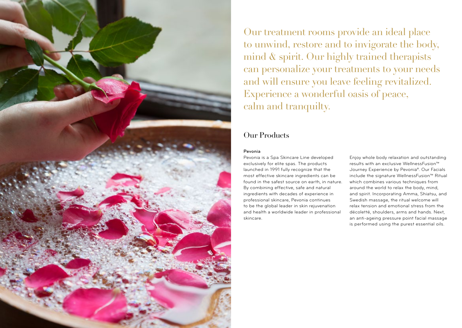

Our treatment rooms provide an ideal place to unwind, restore and to invigorate the body, mind & spirit. Our highly trained therapists can personalize your treatments to your needs and will ensure you leave feeling revitalized. Experience a wonderful oasis of peace, calm and tranquilty.

# Our Products

#### Pevonia

Pevonia is a Spa Skincare Line developed exclusively for elite spas. The products launched in 1991 fully recognize that the most effective skincare ingredients can be found in the safest source on earth, in nature. By combining effective, safe and natural ingredients with decades of experience in professional skincare, Pevonia continues to be the global leader in skin rejuvenation and health a worldwide leader in professional skincare.

Enjoy whole body relaxation and outstanding results with an exclusive WellnessFusion™ Journey Experience by Pevonia®. Our Facials include the signature WellnessFusion™ Ritual which combines various techniques from around the world to relax the body, mind, and spirit. Incorporating Amma, Shiatsu, and Swedish massage, the ritual welcome will relax tension and emotional stress from the décoletté, shoulders, arms and hands. Next, an anti-ageing pressure point facial massage is performed using the purest essential oils.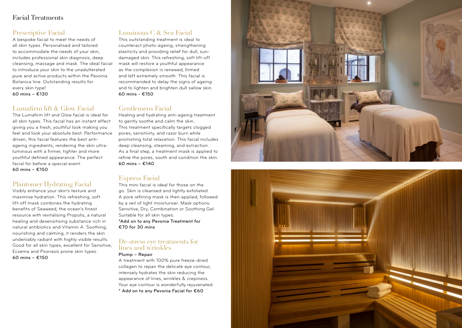### Facial Treatments

## Prescriptive Facial

A bespoke facial to meet the needs of all skin types. Personalised and tailored to accommodate the needs of your skin, includes professional skin diagnosis, deep cleansing, massage and mask. The ideal facial to introduce your skin to the unadulterated pure and active products within the Pevonia Botanica line. Outstanding results for every skin type! 60 mins – €130

### Lumafirm lift & Glow Facial

The Lumafirm lift and Glow facial is ideal for all skin types. This facial has an instant effect giving you a fresh, youthful look making you feel and look your absolute best. Performance driven, this facial features the best antiageing ingredients, rendering the skin ultraluminous with a firmer, tighter and more youthful defined appearance. The perfect facial for before a special event. 60 mins –  $£150$ 

### Plantomer Hydrating Facial

Visibly enhance your skin's texture and maximise hydration. This refreshing, soft lift-off mask combines the hydrating benefits of Seaweed, the ocean's finest resource with revitalising Propolis, a natural healing and desensitising substance rich in natural antibiotics and Vitamin A. Soothing, nourishing and calming, it renders the skin undeniably radiant with highly visible results. Good for all skin types, excellent for Sensitive, Eczema and Psoriasis prone skin types. 60 mins –  $£150$ 

## Luminous C & Sea Facial

This outstanding treatment is ideal to counteract photo-ageing, strengthening elasticity and providing relief for dull, sundamaged skin. This refreshing, soft lift-off mask will restore a youthful appearance as the complexion is renewed, firmed and left extremely smooth. This facial is recommended to delay the signs of ageing and to lighten and brighten dull sallow skin. 60 mins - €150

## Gentlemens Facial

Healing and hydrating anti-ageing treatment to gently soothe and calm the skin. This treatment specifically targets clogged pores, sensitivity, and razor burn while promoting total relaxation. This facial includes deep cleansing, steaming, and extraction. As a final step, a treatment mask is applied to refine the pores, sooth and condition the skin. 60 mins – €140

## Express Facial

This mini facial is ideal for those on the go. Skin is cleansed and lightly exfoliated. A pore refining mask is then applied, followed by a veil of light moisturiser. Mask options: Sensitive, Dry, Combination or Soothing Gel. Suitable for all skin types. \*Add on to any Pevonia Treatment for €70 for 30 mins

#### De-stress eye treatments for lines and wrinkles

Plump – Repair

A treatment with 100% pure freeze-dried collagen to repair the delicate eye contour, intensely hydrates the skin reducing the appearance of lines, wrinkles & crepiness. Your eye contour is wonderfully rejuvenated. \* Add on to any Pevonia Facial for €60



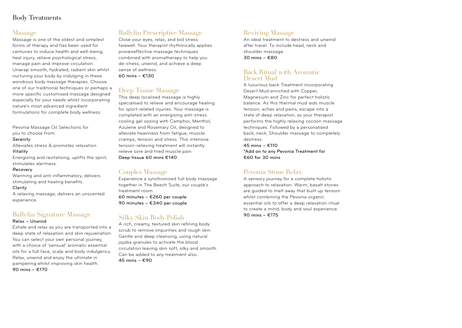## Body Treatments

#### Massage

Massage is one of the oldest and simplest forms of therapy and has been used for centuries to induce health and well-being, heal injury, relieve psychological stress, manage pain and improve circulation. Unwrap smooth, hydrated, radiant skin whilst nurturing your body by indulging in these wondrous body massage therapies. Choose one of our traditional techniques or perhaps a more specific customised massage designed especially for your needs whilst incorporating nature's most advanced ingredient formulations for complete body wellness.

Pevonia Massage Oil Selections for

you to choose from:

*Serenity*

Alleviates stress & promotes relaxation.

#### *Vitality*

Energising and revitalising, uplifts the spirit, stimulates alertness.

#### *Recovery*

Warming and anti-inflammatory, delivers stimulating and healing benefits.

#### *Clarity*

A relaxing massage, delivers an unscented experience.

## Ballyfin Signature Massage

#### Relax – Unwind

Exhale and relax as you are transported into a deep state of relaxation and skin rejuvenation. You can select your own personal journey, with a choice of 'sensual' aromatic essential oils for a full face, scalp and body indulgency. Relax, unwind and enjoy the ultimate in pampering whilst improving skin health. 90 mins – €170

## Ballyfin Prescriptive Massage

Close your eyes, relax, and bid stress farewell. Your therapist rhythmically applies proveneffective massage techniques combined with aromatherapy to help you de-stress, unwind, and achieve a deep sense of wellness. 60 mins – €130

#### Deep Tissue Massage

This deep localised massage is highly specialised to relieve and encourage healing for sport-related injuries. Your massage is completed with an energising anti-stress cooling gel oozing with Camphor, Menthol, Azulene and Rosemary Oil, designed to alleviate heaviness from fatigue, muscle cramps, tension and stress. This intensive tension-relieving treatment will instantly relieve sore and tired muscle pain Deep tissue 60 mins €140

#### Couples Massage

Experience a synchronised full body massage together in The Beech Suite, our couple's treatment room. 60 minutes – €260 per couple 90 minutes – €340 per couple

### Silky Skin Body Polish

A rich, creamy, textured skin refining body scrub to remove impurities and rough skin. Gentle and deep cleansing, using natural jojoba granules to activate the blood circulation leaving skin soft, silky and smooth. Can be added to any treatment also. 45 mins – €90

### Reviving Massage

An ideal treatment to destress and unwind after travel. To include head, neck and shoulder massage. 30 mins – €80

#### Back Ritual with Aromatic Desert Mud

A luxurious back Treatment incorporating Desert Mud enriched with Copper, Magnesium and Zinc for perfect holistic balance. As this thermal mud aids muscle tension, aches and pains, escape into a state of deep relaxation, as your therapist performs the highly relaxing cocoon massage techniques. Followed by a personalised back, neck, Shoulder massage to completely destress.

45 mins – €110 \*Add on to any Pevonia Treatment for €60 for 30 mins

### Pevonia Stone Relax

A sensory journey for a complete holistic approach to relaxation. Warm, basalt stones are guided to melt away that built up tension whilst combining the Pevonia organic essential oils to offer a deep relaxation ritual to create a mind, body and soul experience. 90 mins – €175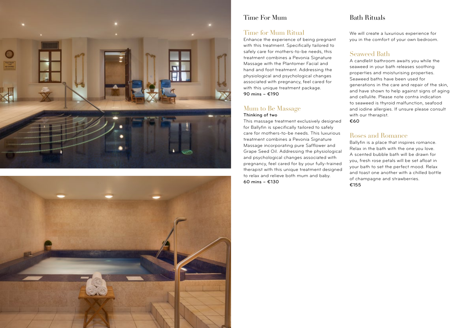



#### Time For Mum

#### Time for Mum Ritual

Enhance the experience of being pregnant with this treatment. Specifically tailored to safely care for mothers-to-be needs, this treatment combines a Pevonia Signature Massage with the Plantomer Facial and hand and foot treatment. Addressing the physiological and psychological changes associated with pregnancy, feel cared for with this unique treatment package. 90 mins – €190

#### Mum to Be Massage Thinking of two

60 mins – €130

This massage treatment exclusively designed for Ballyfin is specifically tailored to safely care for mothers-to-be needs. This luxurious treatment combines a Pevonia Signature Massage incorporating pure Safflower and Grape Seed Oil. Addressing the physiological and psychological changes associated with pregnancy, feel cared for by your fully-trained therapist with this unique treatment designed

to relax and relieve both mum and baby.

## Bath Rituals

We will create a luxurious experience for you in the comfort of your own bedroom.

### Seaweed Bath

A candlelit bathroom awaits you while the seaweed in your bath releases soothing properties and moisturising properties. Seaweed baths have been used for generations in the care and repair of the skin, and have shown to help against signs of aging and cellulite. Please note contra indication to seaweed is thyroid malfunction, seafood and iodine allergies. If unsure please consult with our therapist. €60

### Roses and Romance

Ballyfin is a place that inspires romance. Relax in the bath with the one you love. A scented bubble bath will be drawn for you, fresh rose petals will be set afloat in your bath to set the perfect mood. Relax and toast one another with a chilled bottle of champagne and strawberries. €155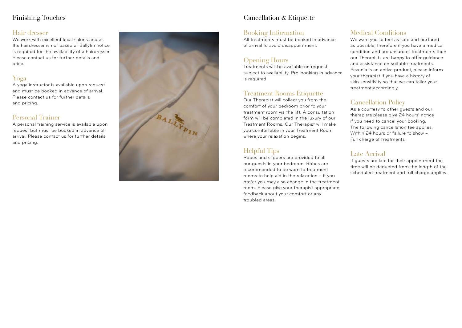## Finishing Touches

#### Hair dresser

We work with excellent local salons and as the hairdresser is not based at Ballyfin notice is required for the availability of a hairdresser. Please contact us for further details and price.

## Yoga

A yoga instructor is available upon request and must be booked in advance of arrival. Please contact us for further details and pricing.

## Personal Trainer

A personal training service is available upon request but must be booked in advance of arrival. Please contact us for further details and pricing.



# Cancellation & Etiquette

### Booking Information

All treatments must be booked in advance of arrival to avoid disappointment.

## Opening Hours

Treatments will be available on request subject to availability. Pre-booking in advance is required

## Treatment Rooms Etiquette

Our Therapist will collect you from the comfort of your bedroom prior to your treatment room via the lift. A consultation form will be completed in the luxury of our Treatment Rooms. Our Therapist will make you comfortable in your Treatment Room where your relaxation begins.

# Helpful Tips

Robes and slippers are provided to all our guests in your bedroom. Robes are recommended to be worn to treatment rooms to help aid in the relaxation – if you prefer you may also change in the treatment room. Please give your therapist appropriate feedback about your comfort or any troubled areas.

# Medical Conditions

We want you to feel as safe and nurtured as possible, therefore if you have a medical condition and are unsure of treatments then our Therapists are happy to offer guidance and assistance on suitable treatments. Pevonia is an active product, please inform your therapist if you have a history of skin sensitivity so that we can tailor your treatment accordingly.

# Cancellation Policy

As a courtesy to other guests and our therapists please give 24 hours' notice if you need to cancel your booking. The following cancellation fee applies: Within 24 hours or failure to show – Full charge of treatments

# Late Arrival

If guests are late for their appointment the time will be deducted from the length of the scheduled treatment and full charge applies.